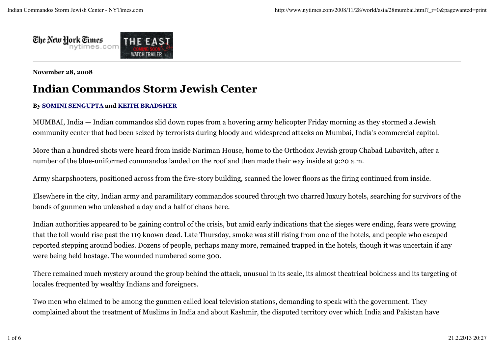

**November 28, 2008**

## **Indian Commandos Storm Jewish Center**

## **By SOMINI SENGUPTA and KEITH BRADSHER**

MUMBAI, India — Indian commandos slid down ropes from a hovering army helicopter Friday morning as they stormed a Jewish community center that had been seized by terrorists during bloody and widespread attacks on Mumbai, India's commercial capital.

More than a hundred shots were heard from inside Nariman House, home to the Orthodox Jewish group Chabad Lubavitch, after a number of the blue-uniformed commandos landed on the roof and then made their way inside at 9:20 a.m.

Army sharpshooters, positioned across from the five-story building, scanned the lower floors as the firing continued from inside.

Elsewhere in the city, Indian army and paramilitary commandos scoured through two charred luxury hotels, searching for survivors of the bands of gunmen who unleashed a day and a half of chaos here.

Indian authorities appeared to be gaining control of the crisis, but amid early indications that the sieges were ending, fears were growing that the toll would rise past the 119 known dead. Late Thursday, smoke was still rising from one of the hotels, and people who escaped reported stepping around bodies. Dozens of people, perhaps many more, remained trapped in the hotels, though it was uncertain if any were being held hostage. The wounded numbered some 300.

There remained much mystery around the group behind the attack, unusual in its scale, its almost theatrical boldness and its targeting of locales frequented by wealthy Indians and foreigners.

Two men who claimed to be among the gunmen called local television stations, demanding to speak with the government. They complained about the treatment of Muslims in India and about Kashmir, the disputed territory over which India and Pakistan have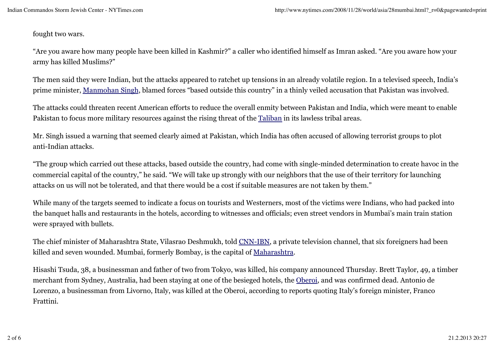fought two wars.

"Are you aware how many people have been killed in Kashmir?" a caller who identified himself as Imran asked. "Are you aware how your army has killed Muslims?"

The men said they were Indian, but the attacks appeared to ratchet up tensions in an already volatile region. In a televised speech, India's prime minister, Manmohan Singh, blamed forces "based outside this country" in a thinly veiled accusation that Pakistan was involved.

The attacks could threaten recent American efforts to reduce the overall enmity between Pakistan and India, which were meant to enable Pakistan to focus more military resources against the rising threat of the Taliban in its lawless tribal areas.

Mr. Singh issued a warning that seemed clearly aimed at Pakistan, which India has often accused of allowing terrorist groups to plot anti-Indian attacks.

"The group which carried out these attacks, based outside the country, had come with single-minded determination to create havoc in the commercial capital of the country," he said. "We will take up strongly with our neighbors that the use of their territory for launching attacks on us will not be tolerated, and that there would be a cost if suitable measures are not taken by them."

While many of the targets seemed to indicate a focus on tourists and Westerners, most of the victims were Indians, who had packed into the banquet halls and restaurants in the hotels, according to witnesses and officials; even street vendors in Mumbai's main train station were sprayed with bullets.

The chief minister of Maharashtra State, Vilasrao Deshmukh, told CNN-IBN, a private television channel, that six foreigners had been killed and seven wounded. Mumbai, formerly Bombay, is the capital of Maharashtra.

Hisashi Tsuda, 38, a businessman and father of two from Tokyo, was killed, his company announced Thursday. Brett Taylor, 49, a timber merchant from Sydney, Australia, had been staying at one of the besieged hotels, the Oberoi, and was confirmed dead. Antonio de Lorenzo, a businessman from Livorno, Italy, was killed at the Oberoi, according to reports quoting Italy's foreign minister, Franco Frattini.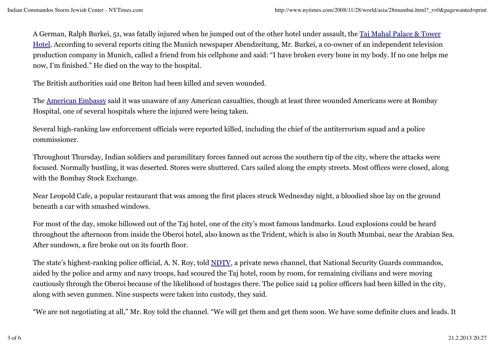A German, Ralph Burkei, 51, was fatally injured when he jumped out of the other hotel under assault, the Taj Mahal Palace & Tower Hotel. According to several reports citing the Munich newspaper Abendzeitung, Mr. Burkei, a co-owner of an independent television production company in Munich, called a friend from his cellphone and said: "I have broken every bone in my body. If no one helps me now, I'm finished." He died on the way to the hospital.

The British authorities said one Briton had been killed and seven wounded.

The American Embassy said it was unaware of any American casualties, though at least three wounded Americans were at Bombay Hospital, one of several hospitals where the injured were being taken.

Several high-ranking law enforcement officials were reported killed, including the chief of the antiterrorism squad and a police commissioner.

Throughout Thursday, Indian soldiers and paramilitary forces fanned out across the southern tip of the city, where the attacks were focused. Normally bustling, it was deserted. Stores were shuttered. Cars sailed along the empty streets. Most offices were closed, along with the Bombay Stock Exchange.

Near Leopold Cafe, a popular restaurant that was among the first places struck Wednesday night, a bloodied shoe lay on the ground beneath a car with smashed windows.

For most of the day, smoke billowed out of the Taj hotel, one of the city's most famous landmarks. Loud explosions could be heard throughout the afternoon from inside the Oberoi hotel, also known as the Trident, which is also in South Mumbai, near the Arabian Sea. After sundown, a fire broke out on its fourth floor.

The state's highest-ranking police official, A. N. Roy, told NDTV, a private news channel, that National Security Guards commandos, aided by the police and army and navy troops, had scoured the Taj hotel, room by room, for remaining civilians and were moving cautiously through the Oberoi because of the likelihood of hostages there. The police said 14 police officers had been killed in the city, along with seven gunmen. Nine suspects were taken into custody, they said.

"We are not negotiating at all," Mr. Roy told the channel. "We will get them and get them soon. We have some definite clues and leads. It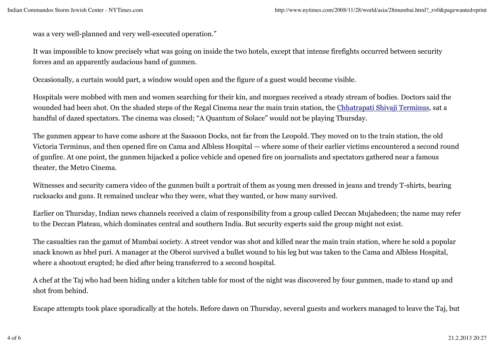was a very well-planned and very well-executed operation."

It was impossible to know precisely what was going on inside the two hotels, except that intense firefights occurred between security forces and an apparently audacious band of gunmen.

Occasionally, a curtain would part, a window would open and the figure of a guest would become visible.

Hospitals were mobbed with men and women searching for their kin, and morgues received a steady stream of bodies. Doctors said the wounded had been shot. On the shaded steps of the Regal Cinema near the main train station, the Chhatrapati Shivaji Terminus, sat a handful of dazed spectators. The cinema was closed; "A Quantum of Solace" would not be playing Thursday.

The gunmen appear to have come ashore at the Sassoon Docks, not far from the Leopold. They moved on to the train station, the old Victoria Terminus, and then opened fire on Cama and Albless Hospital — where some of their earlier victims encountered a second round of gunfire. At one point, the gunmen hijacked a police vehicle and opened fire on journalists and spectators gathered near a famous theater, the Metro Cinema.

Witnesses and security camera video of the gunmen built a portrait of them as young men dressed in jeans and trendy T-shirts, bearing rucksacks and guns. It remained unclear who they were, what they wanted, or how many survived.

Earlier on Thursday, Indian news channels received a claim of responsibility from a group called Deccan Mujahedeen; the name may refer to the Deccan Plateau, which dominates central and southern India. But security experts said the group might not exist.

The casualties ran the gamut of Mumbai society. A street vendor was shot and killed near the main train station, where he sold a popular snack known as bhel puri. A manager at the Oberoi survived a bullet wound to his leg but was taken to the Cama and Albless Hospital, where a shootout erupted; he died after being transferred to a second hospital.

A chef at the Taj who had been hiding under a kitchen table for most of the night was discovered by four gunmen, made to stand up and shot from behind.

Escape attempts took place sporadically at the hotels. Before dawn on Thursday, several guests and workers managed to leave the Taj, but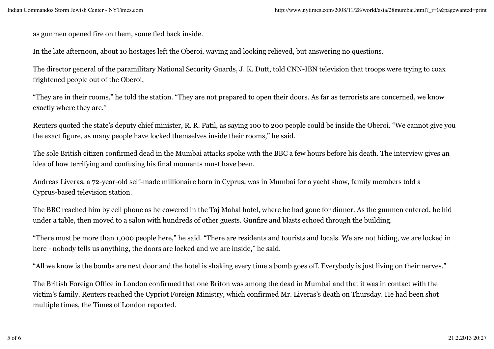as gunmen opened fire on them, some fled back inside.

In the late afternoon, about 10 hostages left the Oberoi, waving and looking relieved, but answering no questions.

The director general of the paramilitary National Security Guards, J. K. Dutt, told CNN-IBN television that troops were trying to coax frightened people out of the Oberoi.

"They are in their rooms," he told the station. "They are not prepared to open their doors. As far as terrorists are concerned, we know exactly where they are."

Reuters quoted the state's deputy chief minister, R. R. Patil, as saying 100 to 200 people could be inside the Oberoi. "We cannot give you the exact figure, as many people have locked themselves inside their rooms," he said.

The sole British citizen confirmed dead in the Mumbai attacks spoke with the BBC a few hours before his death. The interview gives an idea of how terrifying and confusing his final moments must have been.

Andreas Liveras, a 72-year-old self-made millionaire born in Cyprus, was in Mumbai for a yacht show, family members told a Cyprus-based television station.

The BBC reached him by cell phone as he cowered in the Taj Mahal hotel, where he had gone for dinner. As the gunmen entered, he hid under a table, then moved to a salon with hundreds of other guests. Gunfire and blasts echoed through the building.

"There must be more than 1,000 people here," he said. "There are residents and tourists and locals. We are not hiding, we are locked in here - nobody tells us anything, the doors are locked and we are inside," he said.

"All we know is the bombs are next door and the hotel is shaking every time a bomb goes off. Everybody is just living on their nerves."

The British Foreign Office in London confirmed that one Briton was among the dead in Mumbai and that it was in contact with the victim's family. Reuters reached the Cypriot Foreign Ministry, which confirmed Mr. Liveras's death on Thursday. He had been shot multiple times, the Times of London reported.